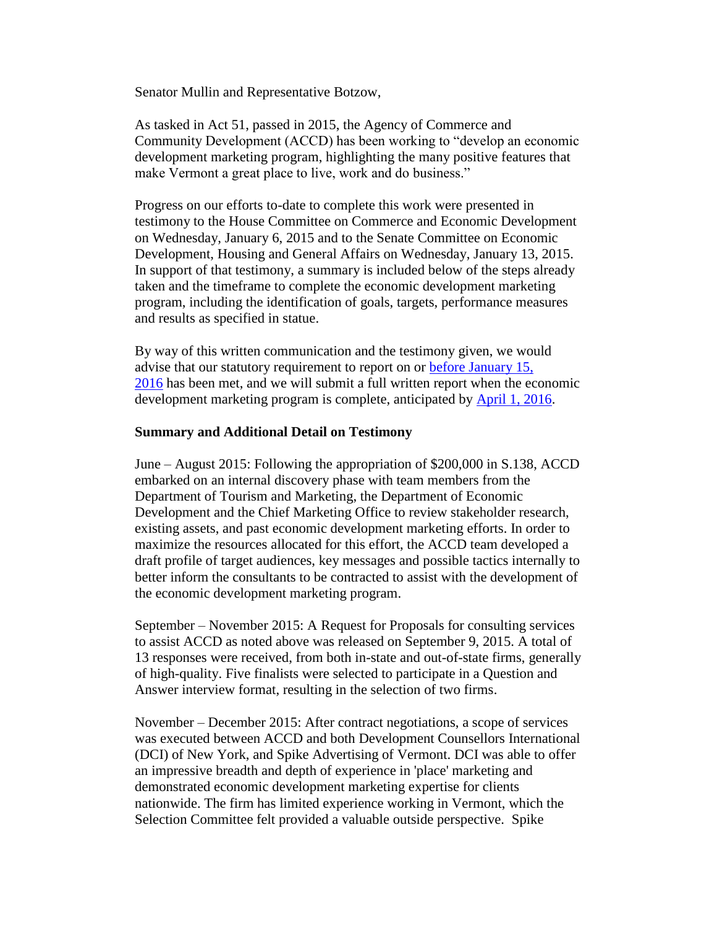Senator Mullin and Representative Botzow,

As tasked in Act 51, passed in 2015, the Agency of Commerce and Community Development (ACCD) has been working to "develop an economic development marketing program, highlighting the many positive features that make Vermont a great place to live, work and do business."

Progress on our efforts to-date to complete this work were presented in testimony to the House Committee on Commerce and Economic Development on Wednesday, January 6, 2015 and to the Senate Committee on Economic Development, Housing and General Affairs on Wednesday, January 13, 2015. In support of that testimony, a summary is included below of the steps already taken and the timeframe to complete the economic development marketing program, including the identification of goals, targets, performance measures and results as specified in statue.

By way of this written communication and the testimony given, we would advise that our statutory requirement to report on or [before January 15,](x-apple-data-detectors://2/)  [2016](x-apple-data-detectors://2/) has been met, and we will submit a full written report when the economic development marketing program is complete, anticipated by [April 1, 2016.](x-apple-data-detectors://3/)

## **Summary and Additional Detail on Testimony**

June – August 2015: Following the appropriation of \$200,000 in S.138, ACCD embarked on an internal discovery phase with team members from the Department of Tourism and Marketing, the Department of Economic Development and the Chief Marketing Office to review stakeholder research, existing assets, and past economic development marketing efforts. In order to maximize the resources allocated for this effort, the ACCD team developed a draft profile of target audiences, key messages and possible tactics internally to better inform the consultants to be contracted to assist with the development of the economic development marketing program.

September – November 2015: A Request for Proposals for consulting services to assist ACCD as noted above was released on September 9, 2015. A total of 13 responses were received, from both in-state and out-of-state firms, generally of high-quality. Five finalists were selected to participate in a Question and Answer interview format, resulting in the selection of two firms.

November – December 2015: After contract negotiations, a scope of services was executed between ACCD and both Development Counsellors International (DCI) of New York, and Spike Advertising of Vermont. DCI was able to offer an impressive breadth and depth of experience in 'place' marketing and demonstrated economic development marketing expertise for clients nationwide. The firm has limited experience working in Vermont, which the Selection Committee felt provided a valuable outside perspective. Spike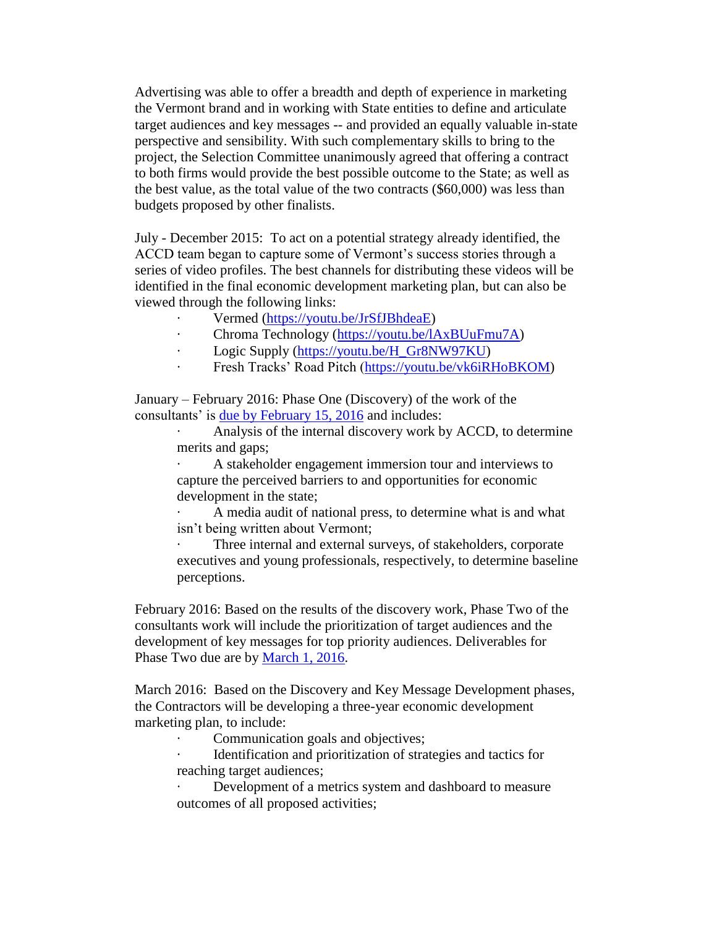Advertising was able to offer a breadth and depth of experience in marketing the Vermont brand and in working with State entities to define and articulate target audiences and key messages -- and provided an equally valuable in-state perspective and sensibility. With such complementary skills to bring to the project, the Selection Committee unanimously agreed that offering a contract to both firms would provide the best possible outcome to the State; as well as the best value, as the total value of the two contracts (\$60,000) was less than budgets proposed by other finalists.

July - December 2015: To act on a potential strategy already identified, the ACCD team began to capture some of Vermont's success stories through a series of video profiles. The best channels for distributing these videos will be identified in the final economic development marketing plan, but can also be viewed through the following links:

- · Vermed [\(https://youtu.be/JrSfJBhdeaE\)](https://youtu.be/JrSfJBhdeaE)
- · Chroma Technology [\(https://youtu.be/lAxBUuFmu7A\)](https://youtu.be/lAxBUuFmu7A)
- Logic Supply [\(https://youtu.be/H\\_Gr8NW97KU\)](https://youtu.be/H_Gr8NW97KU)
- Fresh Tracks' Road Pitch [\(https://youtu.be/vk6iRHoBKOM\)](https://youtu.be/vk6iRHoBKOM)

January – February 2016: Phase One (Discovery) of the work of the consultants' is [due by February 15, 2016](x-apple-data-detectors://11/) and includes:

> Analysis of the internal discovery work by ACCD, to determine merits and gaps;

A stakeholder engagement immersion tour and interviews to capture the perceived barriers to and opportunities for economic development in the state;

· A media audit of national press, to determine what is and what isn't being written about Vermont;

Three internal and external surveys, of stakeholders, corporate executives and young professionals, respectively, to determine baseline perceptions.

February 2016: Based on the results of the discovery work, Phase Two of the consultants work will include the prioritization of target audiences and the development of key messages for top priority audiences. Deliverables for Phase Two due are by [March 1, 2016.](x-apple-data-detectors://12/)

March 2016: Based on the Discovery and Key Message Development phases, the Contractors will be developing a three-year economic development marketing plan, to include:

Communication goals and objectives;

Identification and prioritization of strategies and tactics for reaching target audiences;

Development of a metrics system and dashboard to measure outcomes of all proposed activities;